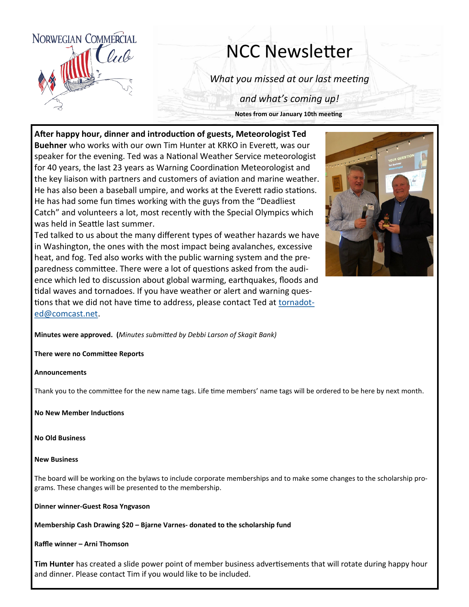

## NCC Newsletter

*What you missed at our last meeting*

*and what's coming up!*

**Notes from our January 10th meeting**

**After happy hour, dinner and introduction of guests, Meteorologist Ted Buehner** who works with our own Tim Hunter at KRKO in Everett, was our speaker for the evening. Ted was a National Weather Service meteorologist for 40 years, the last 23 years as Warning Coordination Meteorologist and the key liaison with partners and customers of aviation and marine weather. He has also been a baseball umpire, and works at the Everett radio stations. He has had some fun times working with the guys from the "Deadliest Catch" and volunteers a lot, most recently with the Special Olympics which was held in Seattle last summer.

Ted talked to us about the many different types of weather hazards we have in Washington, the ones with the most impact being avalanches, excessive heat, and fog. Ted also works with the public warning system and the preparedness committee. There were a lot of questions asked from the audience which led to discussion about global warming, earthquakes, floods and tidal waves and tornadoes. If you have weather or alert and warning questions that we did not have time to address, please contact Ted at [tornadot](mailto:tornadoted@comcast.net)[ed@comcast.net.](mailto:tornadoted@comcast.net) 



**Minutes were approved. (***Minutes submitted by Debbi Larson of Skagit Bank)*

**There were no Committee Reports**

**Announcements**

Thank you to the committee for the new name tags. Life time members' name tags will be ordered to be here by next month.

**No New Member Inductions**

**No Old Business**

## **New Business**

The board will be working on the bylaws to include corporate memberships and to make some changes to the scholarship programs. These changes will be presented to the membership.

**Dinner winner-Guest Rosa Yngvason**

**Membership Cash Drawing \$20 – Bjarne Varnes- donated to the scholarship fund**

**Raffle winner – Arni Thomson**

**Tim Hunter** has created a slide power point of member business advertisements that will rotate during happy hour and dinner. Please contact Tim if you would like to be included.